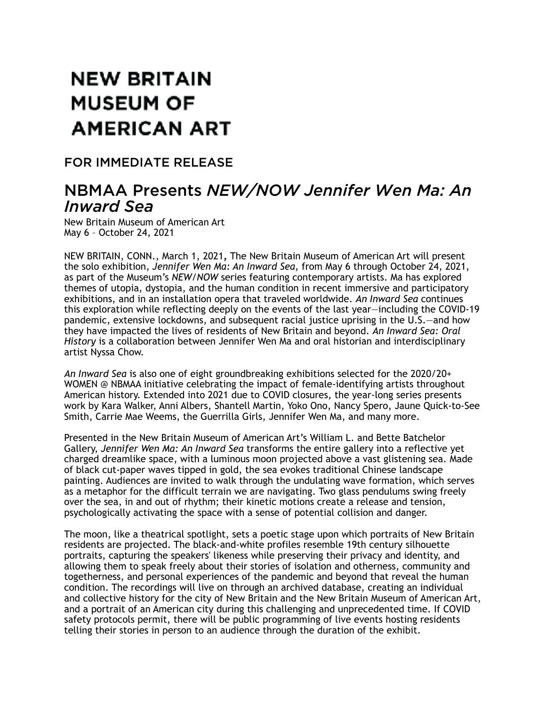# **NEW BRITAIN MUSEUM OF AMERICAN ART**

### FOR IMMEDIATE RELEASE

## NBMAA Presents *NEW/NOW Jennifer Wen Ma: An Inward Sea*

New Britain Museum of American Art May 6 – October 24, 2021

NEW BRITAIN, CONN., March 1, 2021*,* The New Britain Museum of American Art will present the solo exhibition, *Jennifer Wen Ma: An Inward Sea*, from May 6 through October 24, 2021, as part of the Museum's *NEW/NOW* series featuring contemporary artists. Ma has explored themes of utopia, dystopia, and the human condition in recent immersive and participatory exhibitions, and in an installation opera that traveled worldwide. *An Inward Sea* continues this exploration while reflecting deeply on the events of the last year—including the COVID-19 pandemic, extensive lockdowns, and subsequent racial justice uprising in the U.S.—and how they have impacted the lives of residents of New Britain and beyond. *An Inward Sea: Oral History* is a collaboration between Jennifer Wen Ma and oral historian and interdisciplinary artist Nyssa Chow.

*An Inward Sea* is also one of eight groundbreaking exhibitions selected for the 2020/20+ WOMEN @ NBMAA initiative celebrating the impact of female-identifying artists throughout American history. Extended into 2021 due to COVID closures, the year-long series presents work by Kara Walker, Anni Albers, Shantell Martin, Yoko Ono, Nancy Spero, Jaune Quick-to-See Smith, Carrie Mae Weems, the Guerrilla Girls, Jennifer Wen Ma, and many more.

Presented in the New Britain Museum of American Art's William L. and Bette Batchelor Gallery, *Jennifer Wen Ma: An Inward Sea* transforms the entire gallery into a reflective yet charged dreamlike space, with a luminous moon projected above a vast glistening sea. Made of black cut-paper waves tipped in gold, the sea evokes traditional Chinese landscape painting. Audiences are invited to walk through the undulating wave formation, which serves as a metaphor for the difficult terrain we are navigating. Two glass pendulums swing freely over the sea, in and out of rhythm; their kinetic motions create a release and tension, psychologically activating the space with a sense of potential collision and danger.

The moon, like a theatrical spotlight, sets a poetic stage upon which portraits of New Britain residents are projected. The black-and-white profiles resemble 19th century silhouette portraits, capturing the speakers' likeness while preserving their privacy and identity, and allowing them to speak freely about their stories of isolation and otherness, community and togetherness, and personal experiences of the pandemic and beyond that reveal the human condition. The recordings will live on through an archived database, creating an individual and collective history for the city of New Britain and the New Britain Museum of American Art, and a portrait of an American city during this challenging and unprecedented time. If COVID safety protocols permit, there will be public programming of live events hosting residents telling their stories in person to an audience through the duration of the exhibit.